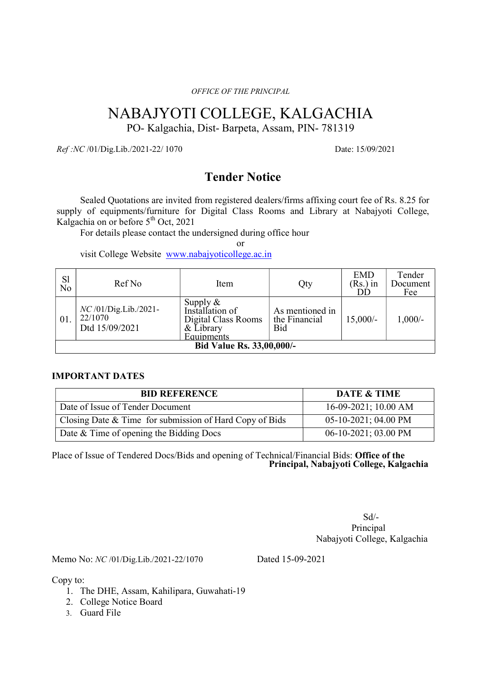OFFICE OF THE PRINCIPAL

# NABAJYOTI COLLEGE, KALGACHIA

PO- Kalgachia, Dist- Barpeta, Assam, PIN- 781319

Ref:NC /01/Dig.Lib./2021-22/ 1070 Date: 15/09/2021

# Tender Notice

Sealed Quotations are invited from registered dealers/firms affixing court fee of Rs. 8.25 for supply of equipments/furniture for Digital Class Rooms and Library at Nabajyoti College, Kalgachia on or before  $5<sup>th</sup>$  Oct, 2021

For details please contact the undersigned during office hour

or

visit College Website www.nabajyoticollege.ac.in

| S <sub>1</sub><br>N <sub>o</sub> | Ref No                                              | Item                                                                          | Qty                                     | <b>EMD</b><br>$(Rs.)$ in | Tender<br>Document<br>Fee |  |
|----------------------------------|-----------------------------------------------------|-------------------------------------------------------------------------------|-----------------------------------------|--------------------------|---------------------------|--|
| $\degree$ 01.                    | $NC/01/Dig.Lib./2021-$<br>22/1070<br>Dtd 15/09/2021 | Supply &<br>Installation of<br>Digital Class Rooms<br>& Library<br>Equipments | As mentioned in<br>the Financial<br>Bid | $15,000/-$               | $1,000/-$                 |  |
| Bid Value Rs. 33,00,000/-        |                                                     |                                                                               |                                         |                          |                           |  |

## IMPORTANT DATES

| <b>BID REFERENCE</b>                                    | <b>DATE &amp; TIME</b>  |
|---------------------------------------------------------|-------------------------|
| Date of Issue of Tender Document                        | $16-09-2021$ ; 10.00 AM |
| Closing Date & Time for submission of Hard Copy of Bids | $05-10-2021$ ; 04.00 PM |
| Date & Time of opening the Bidding Docs                 | 06-10-2021; 03.00 PM    |

Place of Issue of Tendered Docs/Bids and opening of Technical/Financial Bids: Office of the Principal, Nabajyoti College, Kalgachia

 Sd/- Principal Principal Nabajyoti College, Kalgachia

Memo No: NC /01/Dig.Lib./2021-22/1070 Dated 15-09-2021

Copy to:

- 1. The DHE, Assam, Kahilipara, Guwahati-19
- 2. College Notice Board
- 3. Guard File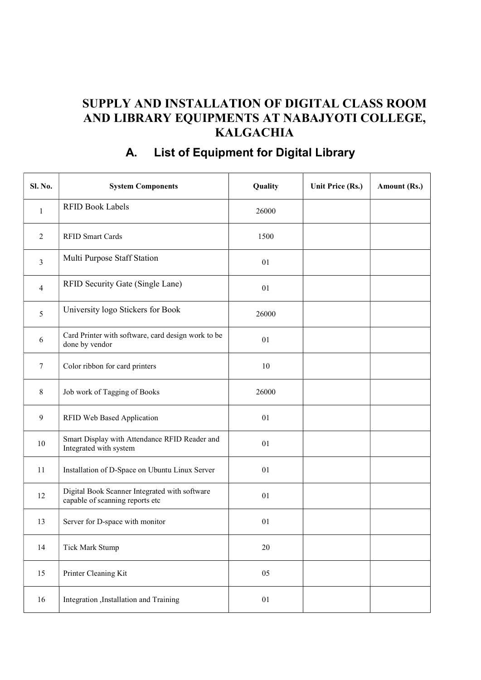# SUPPLY AND INSTALLATION OF DIGITAL CLASS ROOM AND LIBRARY EQUIPMENTS AT NABAJYOTI COLLEGE, **KALGACHIA**

# Sl. No. System Components **Quality** Quality Unit Price (Rs.) Amount (Rs.) 1 RFID Book Labels 26000 2 RFID Smart Cards 1500  $\frac{3}{3}$  Multi Purpose Staff Station  $\frac{1}{2}$  01  $4$  RFID Security Gate (Single Lane)  $01$ 5 University logo Stickers for Book 26000  $\begin{array}{c|c}\n6 & \text{Card Printer with software, card design work to be}\n\end{array}$ Let a Printer with software, card design work to be of the by vendor of  $\frac{01}{100}$ 7 Color ribbon for card printers 10 8 Job work of Tagging of Books 26000 9 RFID Web Based Application 01 10 Smart Display with Attendance RFID Reader and Smart Display with Attendance KFID Reader and<br>Integrated with system 01 11 Installation of D-Space on Ubuntu Linux Server 01 12 Digital Book Scanner Integrated with software Digital Book Scanner Integrated with software<br>
capable of scanning reports etc 01 13 Server for D-space with monitor 01 14 Tick Mark Stump 20 15 Printer Cleaning Kit 05

16 Integration ,Installation and Training 01

# A. List of Equipment for Digital Library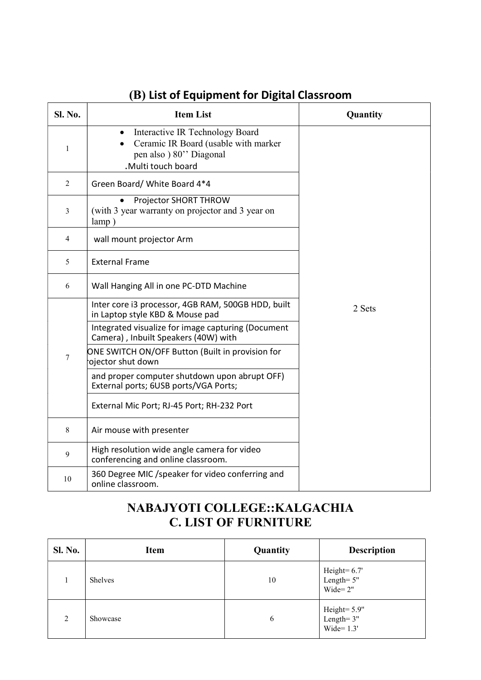| Sl. No.        | <b>Item List</b>                                                                                                         | Quantity |
|----------------|--------------------------------------------------------------------------------------------------------------------------|----------|
| $\mathbf{1}$   | Interactive IR Technology Board<br>Ceramic IR Board (usable with marker<br>pen also ) 80" Diagonal<br>.Multi touch board |          |
| $\overline{2}$ | Green Board/ White Board 4*4                                                                                             |          |
| 3              | Projector SHORT THROW<br>(with 3 year warranty on projector and 3 year on<br>lamp)                                       |          |
| 4              | wall mount projector Arm                                                                                                 |          |
| 5              | <b>External Frame</b>                                                                                                    |          |
| 6              | Wall Hanging All in one PC-DTD Machine                                                                                   |          |
|                | Inter core i3 processor, 4GB RAM, 500GB HDD, built<br>in Laptop style KBD & Mouse pad                                    | 2 Sets   |
|                | Integrated visualize for image capturing (Document<br>Camera), Inbuilt Speakers (40W) with                               |          |
| $\tau$         | ONE SWITCH ON/OFF Button (Built in provision for<br>ojector shut down                                                    |          |
|                | and proper computer shutdown upon abrupt OFF)<br>External ports; 6USB ports/VGA Ports;                                   |          |
|                | External Mic Port; RJ-45 Port; RH-232 Port                                                                               |          |
| 8              | Air mouse with presenter                                                                                                 |          |
| 9              | High resolution wide angle camera for video<br>conferencing and online classroom.                                        |          |
| 10             | 360 Degree MIC /speaker for video conferring and<br>online classroom.                                                    |          |

# (B) List of Equipment for Digital Classroom

# NABAJYOTI COLLEGE::KALGACHIA C. LIST OF FURNITURE

| <b>Sl. No.</b> | Item           | Quantity | <b>Description</b>                               |
|----------------|----------------|----------|--------------------------------------------------|
| 1              | <b>Shelves</b> | 10       | Height= $6.7'$<br>Length= 5"<br>Wide= $2"$       |
| $\overline{2}$ | Showcase       | 6        | Height= $5.9$ "<br>Length= $3$ "<br>Wide= $1.3'$ |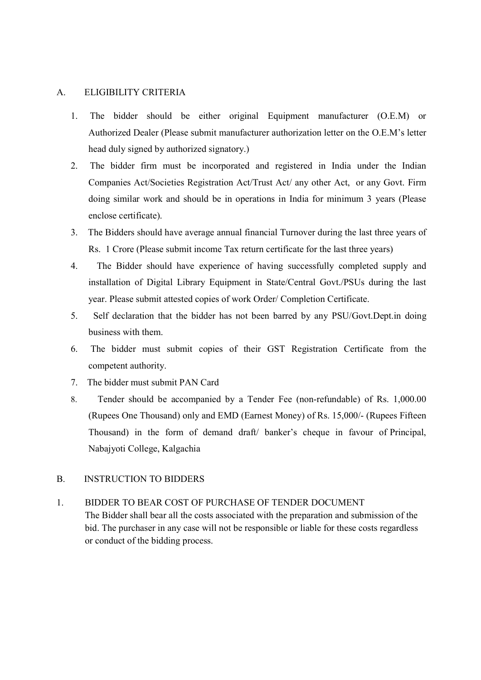#### A. ELIGIBILITY CRITERIA

- 1. The bidder should be either original Equipment manufacturer (O.E.M) or Authorized Dealer (Please submit manufacturer authorization letter on the O.E.M's letter head duly signed by authorized signatory.)
- 2. The bidder firm must be incorporated and registered in India under the Indian Companies Act/Societies Registration Act/Trust Act/ any other Act, or any Govt. Firm doing similar work and should be in operations in India for minimum 3 years (Please enclose certificate).
- 3. The Bidders should have average annual financial Turnover during the last three years of Rs. 1 Crore (Please submit income Tax return certificate for the last three years)
- 4. The Bidder should have experience of having successfully completed supply and installation of Digital Library Equipment in State/Central Govt./PSUs during the last year. Please submit attested copies of work Order/ Completion Certificate.
- 5. Self declaration that the bidder has not been barred by any PSU/Govt.Dept.in doing business with them.
- 6. The bidder must submit copies of their GST Registration Certificate from the competent authority.
- 7. The bidder must submit PAN Card
- 8. Tender should be accompanied by a Tender Fee (non-refundable) of Rs. 1,000.00 (Rupees One Thousand) only and EMD (Earnest Money) of Rs. 15,000/- (Rupees Fifteen Thousand) in the form of demand draft/ banker's cheque in favour of Principal, Nabajyoti College, Kalgachia

#### B. INSTRUCTION TO BIDDERS

1. BIDDER TO BEAR COST OF PURCHASE OF TENDER DOCUMENT The Bidder shall bear all the costs associated with the preparation and submission of the bid. The purchaser in any case will not be responsible or liable for these costs regardless or conduct of the bidding process.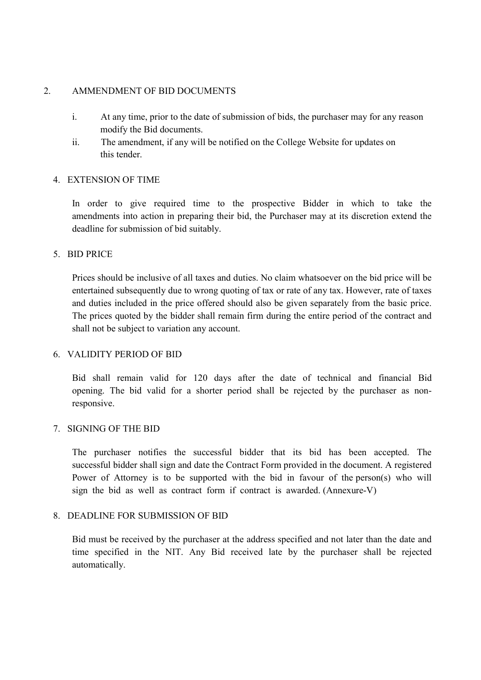### 2. AMMENDMENT OF BID DOCUMENTS

- i. At any time, prior to the date of submission of bids, the purchaser may for any reason modify the Bid documents.
- ii. The amendment, if any will be notified on the College Website for updates on this tender.

### 4. EXTENSION OF TIME

In order to give required time to the prospective Bidder in which to take the amendments into action in preparing their bid, the Purchaser may at its discretion extend the deadline for submission of bid suitably.

## 5. BID PRICE

Prices should be inclusive of all taxes and duties. No claim whatsoever on the bid price will be entertained subsequently due to wrong quoting of tax or rate of any tax. However, rate of taxes and duties included in the price offered should also be given separately from the basic price. The prices quoted by the bidder shall remain firm during the entire period of the contract and shall not be subject to variation any account.

### 6. VALIDITY PERIOD OF BID

Bid shall remain valid for 120 days after the date of technical and financial Bid opening. The bid valid for a shorter period shall be rejected by the purchaser as nonresponsive.

### 7. SIGNING OF THE BID

The purchaser notifies the successful bidder that its bid has been accepted. The successful bidder shall sign and date the Contract Form provided in the document. A registered Power of Attorney is to be supported with the bid in favour of the person(s) who will sign the bid as well as contract form if contract is awarded. (Annexure-V)

### 8. DEADLINE FOR SUBMISSION OF BID

Bid must be received by the purchaser at the address specified and not later than the date and time specified in the NIT. Any Bid received late by the purchaser shall be rejected automatically.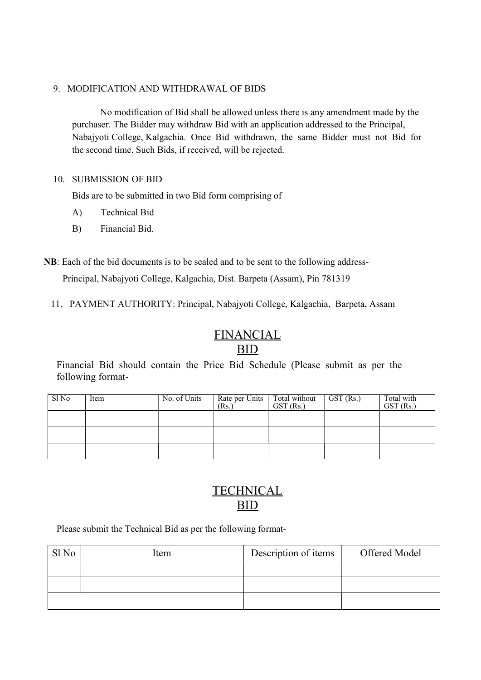### 9. MODIFICATION AND WITHDRAWAL OF BIDS

No modification of Bid shall be allowed unless there is any amendment made by the purchaser. The Bidder may withdraw Bid with an application addressed to the Principal, Nabajyoti College, Kalgachia. Once Bid withdrawn, the same Bidder must not Bid for the second time. Such Bids, if received, will be rejected.

## 10. SUBMISSION OF BID

Bids are to be submitted in two Bid form comprising of

- A) Technical Bid
- B) Financial Bid.
- NB: Each of the bid documents is to be sealed and to be sent to the following address- Principal, Nabajyoti College, Kalgachia, Dist. Barpeta (Assam), Pin 781319
	- 11. PAYMENT AUTHORITY: Principal, Nabajyoti College, Kalgachia, Barpeta, Assam

# FINANCIAL<br>BID

## BID **BID**

Financial Bid should contain the Price Bid Schedule (Please submit as per the following format-

| Sl No | Item | No. of Units | Rate per Units   Total without<br>(Rs.) | $GST$ (Rs.) | $\vert$ GST (Rs.) | Total with<br>GST (Rs.) |
|-------|------|--------------|-----------------------------------------|-------------|-------------------|-------------------------|
|       |      |              |                                         |             |                   |                         |
|       |      |              |                                         |             |                   |                         |
|       |      |              |                                         |             |                   |                         |

# **TECHNICAL** BID

Please submit the Technical Bid as per the following format-

| Sl <sub>No</sub> | Item | Description of items | Offered Model |
|------------------|------|----------------------|---------------|
|                  |      |                      |               |
|                  |      |                      |               |
|                  |      |                      |               |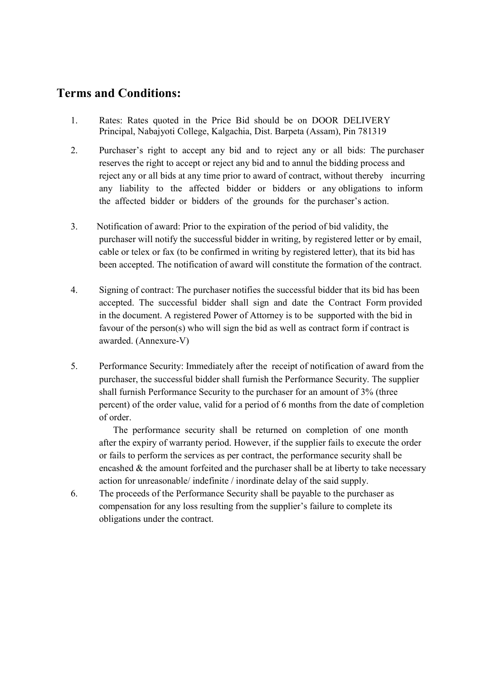# Terms and Conditions:

- 1. Rates: Rates quoted in the Price Bid should be on DOOR DELIVERY Principal, Nabajyoti College, Kalgachia, Dist. Barpeta (Assam), Pin 781319
- 2. Purchaser's right to accept any bid and to reject any or all bids: The purchaser reserves the right to accept or reject any bid and to annul the bidding process and reject any or all bids at any time prior to award of contract, without thereby incurring any liability to the affected bidder or bidders or any obligations to inform the affected bidder or bidders of the grounds for the purchaser's action.
- 3. Notification of award: Prior to the expiration of the period of bid validity, the purchaser will notify the successful bidder in writing, by registered letter or by email, cable or telex or fax (to be confirmed in writing by registered letter), that its bid has been accepted. The notification of award will constitute the formation of the contract.
- 4. Signing of contract: The purchaser notifies the successful bidder that its bid has been accepted. The successful bidder shall sign and date the Contract Form provided in the document. A registered Power of Attorney is to be supported with the bid in favour of the person(s) who will sign the bid as well as contract form if contract is awarded. (Annexure-V)
- 5. Performance Security: Immediately after the receipt of notification of award from the purchaser, the successful bidder shall furnish the Performance Security. The supplier shall furnish Performance Security to the purchaser for an amount of 3% (three percent) of the order value, valid for a period of 6 months from the date of completion of order.

The performance security shall be returned on completion of one month after the expiry of warranty period. However, if the supplier fails to execute the order or fails to perform the services as per contract, the performance security shall be encashed  $\&$  the amount forfeited and the purchaser shall be at liberty to take necessary action for unreasonable/ indefinite / inordinate delay of the said supply.

6. The proceeds of the Performance Security shall be payable to the purchaser as compensation for any loss resulting from the supplier's failure to complete its obligations under the contract.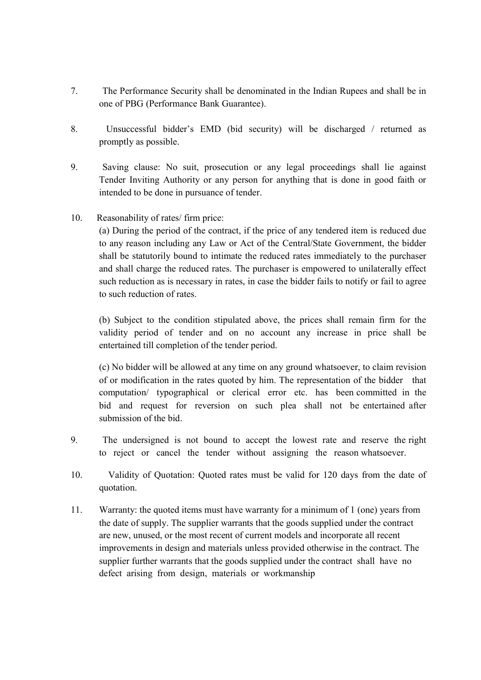- 7. The Performance Security shall be denominated in the Indian Rupees and shall be in one of PBG (Performance Bank Guarantee).
- 8. Unsuccessful bidder's EMD (bid security) will be discharged / returned as promptly as possible.
- 9. Saving clause: No suit, prosecution or any legal proceedings shall lie against Tender Inviting Authority or any person for anything that is done in good faith or intended to be done in pursuance of tender.
- 10. Reasonability of rates/ firm price:

(a) During the period of the contract, if the price of any tendered item is reduced due to any reason including any Law or Act of the Central/State Government, the bidder shall be statutorily bound to intimate the reduced rates immediately to the purchaser and shall charge the reduced rates. The purchaser is empowered to unilaterally effect such reduction as is necessary in rates, in case the bidder fails to notify or fail to agree to such reduction of rates.

(b) Subject to the condition stipulated above, the prices shall remain firm for the validity period of tender and on no account any increase in price shall be entertained till completion of the tender period.

(c) No bidder will be allowed at any time on any ground whatsoever, to claim revision of or modification in the rates quoted by him. The representation of the bidder that computation/ typographical or clerical error etc. has been committed in the bid and request for reversion on such plea shall not be entertained after submission of the bid.

- 9. The undersigned is not bound to accept the lowest rate and reserve the right to reject or cancel the tender without assigning the reason whatsoever.
- 10. Validity of Quotation: Quoted rates must be valid for 120 days from the date of quotation.
- 11. Warranty: the quoted items must have warranty for a minimum of 1 (one) years from the date of supply. The supplier warrants that the goods supplied under the contract are new, unused, or the most recent of current models and incorporate all recent improvements in design and materials unless provided otherwise in the contract. The supplier further warrants that the goods supplied under the contract shall have no defect arising from design, materials or workmanship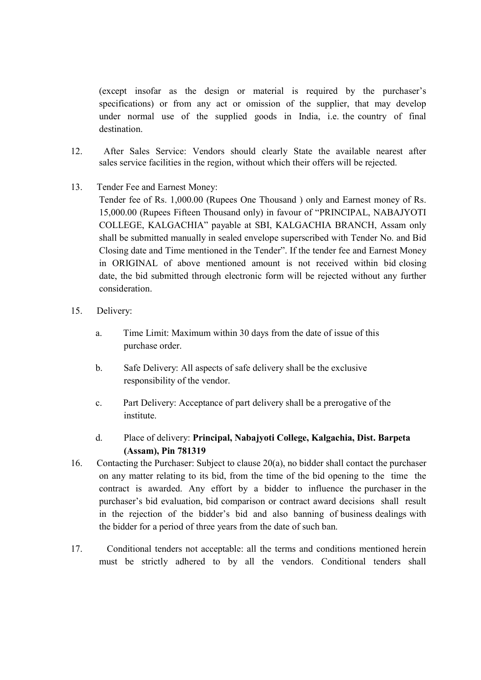(except insofar as the design or material is required by the purchaser's specifications) or from any act or omission of the supplier, that may develop under normal use of the supplied goods in India, i.e. the country of final destination.

- 12. After Sales Service: Vendors should clearly State the available nearest after sales service facilities in the region, without which their offers will be rejected.
- 13. Tender Fee and Earnest Money:
	- Tender fee of Rs. 1,000.00 (Rupees One Thousand ) only and Earnest money of Rs. 15,000.00 (Rupees Fifteen Thousand only) in favour of "PRINCIPAL, NABAJYOTI COLLEGE, KALGACHIA" payable at SBI, KALGACHIA BRANCH, Assam only shall be submitted manually in sealed envelope superscribed with Tender No. and Bid Closing date and Time mentioned in the Tender". If the tender fee and Earnest Money in ORIGINAL of above mentioned amount is not received within bid closing date, the bid submitted through electronic form will be rejected without any further consideration.
- 15. Delivery:
	- a. Time Limit: Maximum within 30 days from the date of issue of this purchase order.
	- b. Safe Delivery: All aspects of safe delivery shall be the exclusive responsibility of the vendor.
	- c. Part Delivery: Acceptance of part delivery shall be a prerogative of the institute.
	- d. Place of delivery: Principal, Nabajyoti College, Kalgachia, Dist. Barpeta (Assam), Pin 781319
- 16. Contacting the Purchaser: Subject to clause 20(a), no bidder shall contact the purchaser on any matter relating to its bid, from the time of the bid opening to the time the contract is awarded. Any effort by a bidder to influence the purchaser in the purchaser's bid evaluation, bid comparison or contract award decisions shall result in the rejection of the bidder's bid and also banning of business dealings with the bidder for a period of three years from the date of such ban.
- 17. Conditional tenders not acceptable: all the terms and conditions mentioned herein must be strictly adhered to by all the vendors. Conditional tenders shall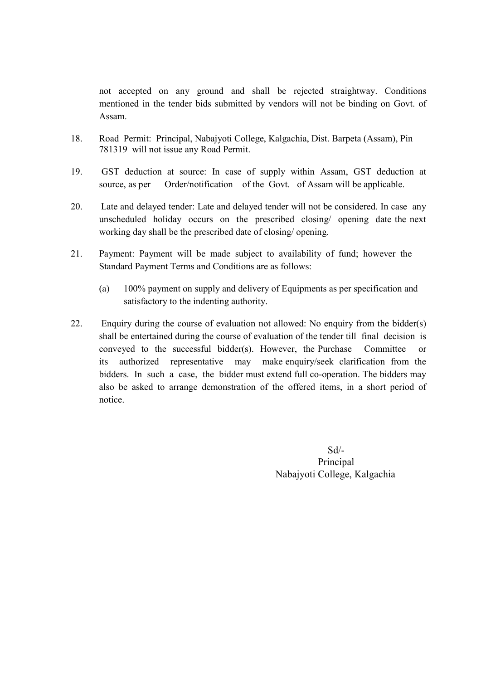not accepted on any ground and shall be rejected straightway. Conditions mentioned in the tender bids submitted by vendors will not be binding on Govt. of Assam.

- 18. Road Permit: Principal, Nabajyoti College, Kalgachia, Dist. Barpeta (Assam), Pin 781319 will not issue any Road Permit.
- 19. GST deduction at source: In case of supply within Assam, GST deduction at source, as per Order/notification of the Govt. of Assam will be applicable.
- 20. Late and delayed tender: Late and delayed tender will not be considered. In case any unscheduled holiday occurs on the prescribed closing/ opening date the next working day shall be the prescribed date of closing/ opening.
- 21. Payment: Payment will be made subject to availability of fund; however the Standard Payment Terms and Conditions are as follows:
	- (a) 100% payment on supply and delivery of Equipments as per specification and satisfactory to the indenting authority.
- 22. Enquiry during the course of evaluation not allowed: No enquiry from the bidder(s) shall be entertained during the course of evaluation of the tender till final decision is conveyed to the successful bidder(s). However, the Purchase Committee or its authorized representative may make enquiry/seek clarification from the bidders. In such a case, the bidder must extend full co-operation. The bidders may also be asked to arrange demonstration of the offered items, in a short period of notice.

Sd/- Principal Nabajyoti College, Kalgachia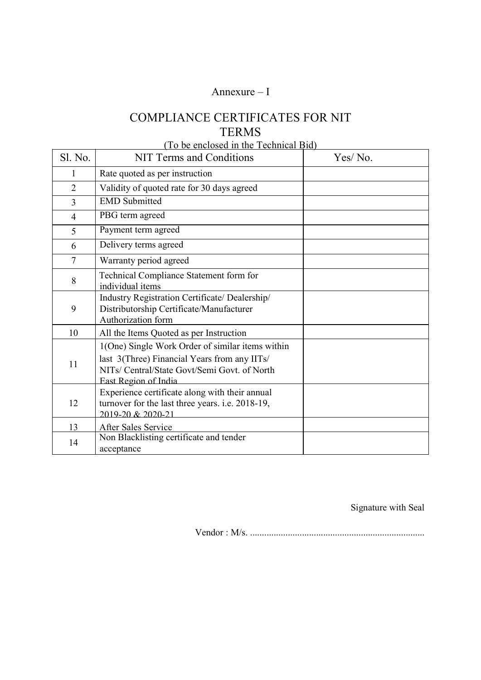## Annexure – I

# COMPLIANCE CERTIFICATES FOR NIT TERMS

## (To be enclosed in the Technical Bid)

| Sl. No.        | <b>NIT Terms and Conditions</b>                                                                                                                                          | Yes/No. |
|----------------|--------------------------------------------------------------------------------------------------------------------------------------------------------------------------|---------|
| 1              | Rate quoted as per instruction                                                                                                                                           |         |
| $\overline{2}$ | Validity of quoted rate for 30 days agreed                                                                                                                               |         |
| $\overline{3}$ | <b>EMD</b> Submitted                                                                                                                                                     |         |
| $\overline{4}$ | PBG term agreed                                                                                                                                                          |         |
| 5              | Payment term agreed                                                                                                                                                      |         |
| 6              | Delivery terms agreed                                                                                                                                                    |         |
| 7              | Warranty period agreed                                                                                                                                                   |         |
| 8              | Technical Compliance Statement form for<br>individual items                                                                                                              |         |
| 9              | Industry Registration Certificate/ Dealership/<br>Distributorship Certificate/Manufacturer<br>Authorization form                                                         |         |
| 10             | All the Items Quoted as per Instruction                                                                                                                                  |         |
| 11             | 1(One) Single Work Order of similar items within<br>last 3(Three) Financial Years from any IITs/<br>NITs/ Central/State Govt/Semi Govt. of North<br>East Region of India |         |
| 12             | Experience certificate along with their annual<br>turnover for the last three years. i.e. 2018-19,<br>2019-20 & 2020-21                                                  |         |
| 13             | After Sales Service                                                                                                                                                      |         |
| 14             | Non Blacklisting certificate and tender<br>acceptance                                                                                                                    |         |

Signature with Seal

Vendor : M/s. ..........................................................................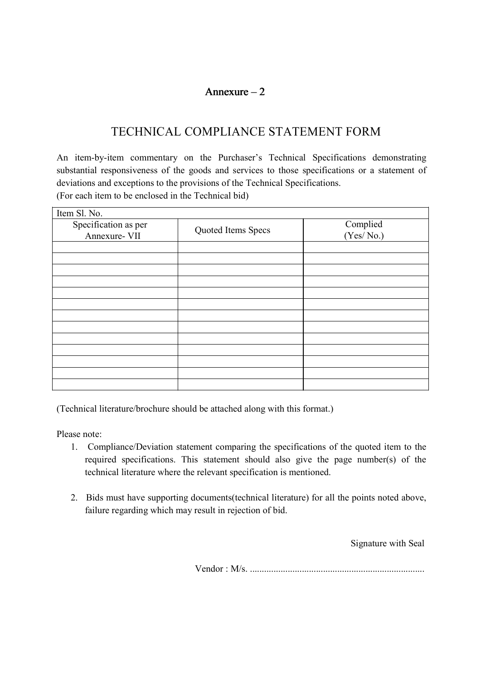## Annexure  $-2$

# TECHNICAL COMPLIANCE STATEMENT FORM

An item-by-item commentary on the Purchaser's Technical Specifications demonstrating substantial responsiveness of the goods and services to those specifications or a statement of deviations and exceptions to the provisions of the Technical Specifications. (For each item to be enclosed in the Technical bid)

Item Sl. No. Specification as per ecification as per<br>
Annexure- VII Quoted Items Specs (Yes/No.) (Yes/ No.)

(Technical literature/brochure should be attached along with this format.)

Please note:

- 1. Compliance/Deviation statement comparing the specifications of the quoted item to the required specifications. This statement should also give the page number(s) of the technical literature where the relevant specification is mentioned.
- 2. Bids must have supporting documents(technical literature) for all the points noted above, failure regarding which may result in rejection of bid.

Signature with Seal

Vendor : M/s. ..........................................................................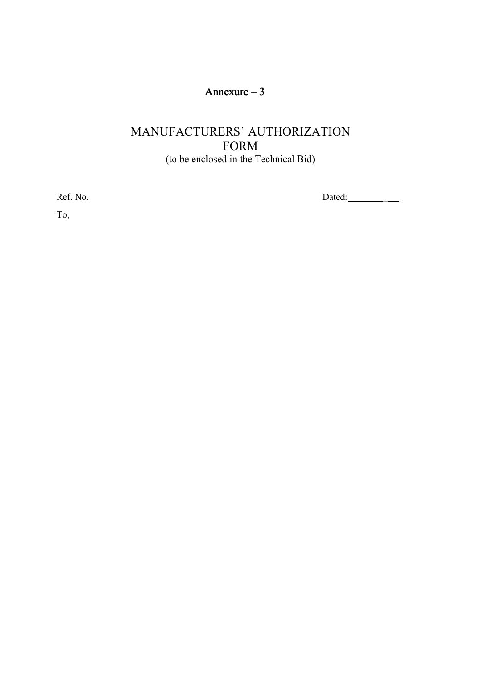# Annexure – 3

# MANUFACTURERS' AUTHORIZATION FORM (to be enclosed in the Technical Bid)

Ref. No. Dated: \_

To,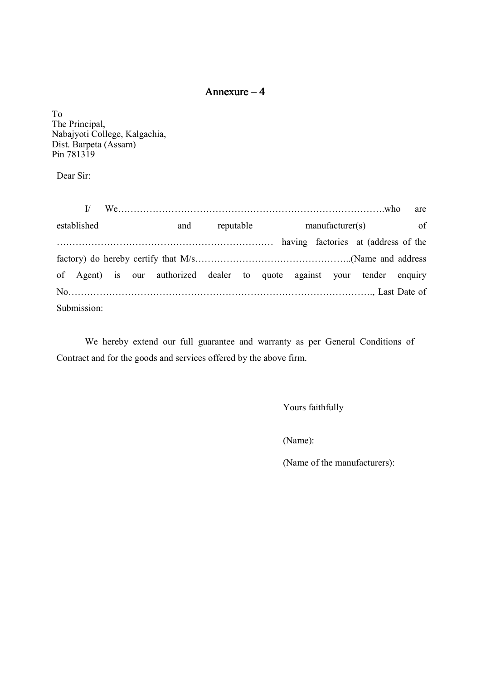## Annexure – 4

To The Principal, Nabajyoti College, Kalgachia, Dist. Barpeta (Assam) Pin 781319

Dear Sir:

I/ We………………………………………………………………………….who are established and reputable manufacturer(s) of …………………………………………………………… having factories at (address of the factory) do hereby certify that M/s…………………………………………..(Name and address of Agent) is our authorized dealer to quote against your tender enquiry No……………………………………………………………………………………., Last Date of Submission:

We hereby extend our full guarantee and warranty as per General Conditions of Contract and for the goods and services offered by the above firm.

Yours faithfully

(Name):

(Name of the manufacturers):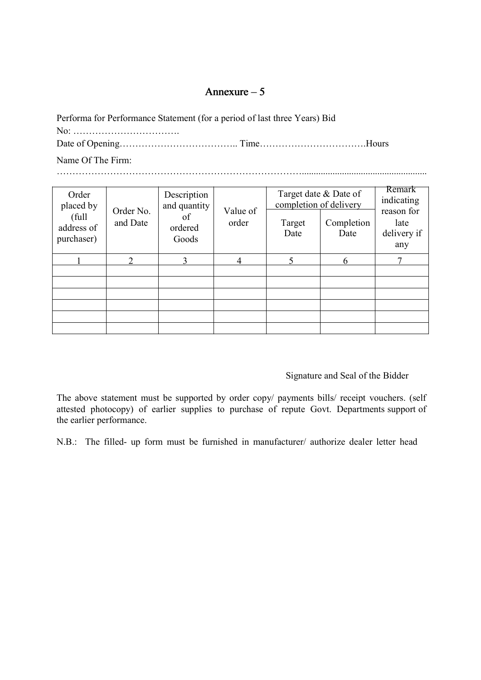## Annexure – 5

| Performa for Performance Statement (for a period of last three Years) Bid |  |
|---------------------------------------------------------------------------|--|
|                                                                           |  |
|                                                                           |  |

Name Of The Firm:

…………………………………………………………………….....................................................

| Order<br>placed by               |                       | Description<br>and quantity |                   | completion of delivery | Target date & Date of | Remark<br>indicating                     |
|----------------------------------|-----------------------|-----------------------------|-------------------|------------------------|-----------------------|------------------------------------------|
| full<br>address of<br>purchaser) | Order No.<br>and Date | of<br>ordered<br>Goods      | Value of<br>order | Target<br>Date         | Completion<br>Date    | reason for<br>late<br>delivery if<br>any |
|                                  | ↑                     | 3                           | 4                 |                        | 6                     |                                          |
|                                  |                       |                             |                   |                        |                       |                                          |
|                                  |                       |                             |                   |                        |                       |                                          |
|                                  |                       |                             |                   |                        |                       |                                          |
|                                  |                       |                             |                   |                        |                       |                                          |
|                                  |                       |                             |                   |                        |                       |                                          |
|                                  |                       |                             |                   |                        |                       |                                          |

## Signature and Seal of the Bidder

The above statement must be supported by order copy/ payments bills/ receipt vouchers. (self attested photocopy) of earlier supplies to purchase of repute Govt. Departments support of the earlier performance.

N.B.: The filled- up form must be furnished in manufacturer/ authorize dealer letter head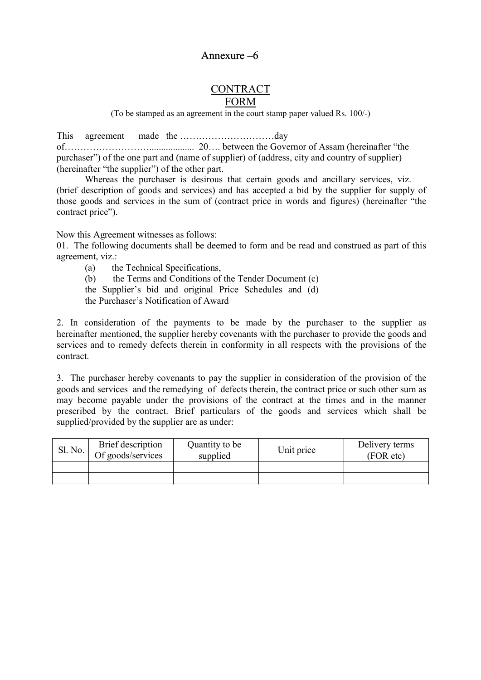## **CONTRACT** FORM

(To be stamped as an agreement in the court stamp paper valued Rs. 100/-)

This agreement made the …………………………day of………………………................... 20…. between the Governor of Assam (hereinafter "the purchaser") of the one part and (name of supplier) of (address, city and country of supplier) (hereinafter "the supplier") of the other part.

Whereas the purchaser is desirous that certain goods and ancillary services, viz. (brief description of goods and services) and has accepted a bid by the supplier for supply of those goods and services in the sum of (contract price in words and figures) (hereinafter "the contract price").

Now this Agreement witnesses as follows:

01. The following documents shall be deemed to form and be read and construed as part of this agreement, viz.:

- (a) the Technical Specifications,
- (b) the Terms and Conditions of the Tender Document (c)
- the Supplier's bid and original Price Schedules and (d)
- the Purchaser's Notification of Award

2. In consideration of the payments to be made by the purchaser to the supplier as hereinafter mentioned, the supplier hereby covenants with the purchaser to provide the goods and services and to remedy defects therein in conformity in all respects with the provisions of the contract.

3. The purchaser hereby covenants to pay the supplier in consideration of the provision of the goods and services and the remedying of defects therein, the contract price or such other sum as may become payable under the provisions of the contract at the times and in the manner prescribed by the contract. Brief particulars of the goods and services which shall be supplied/provided by the supplier are as under:

| Sl. No. | Brief description<br>Of goods/services | Quantity to be<br>supplied | Unit price | Delivery terms<br>(FOR etc) |
|---------|----------------------------------------|----------------------------|------------|-----------------------------|
|         |                                        |                            |            |                             |
|         |                                        |                            |            |                             |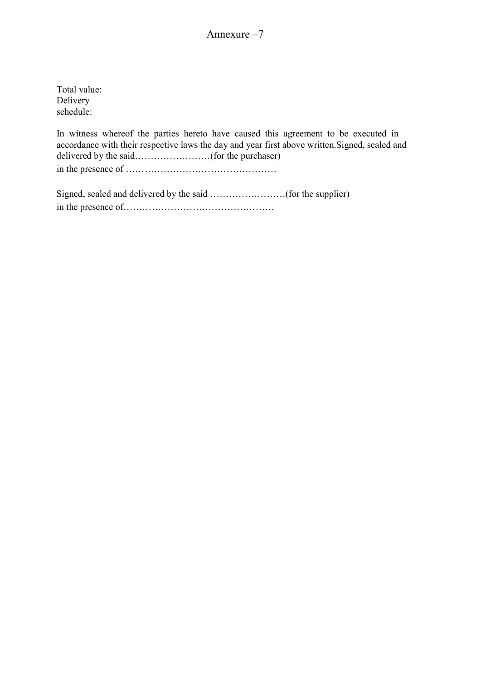Total value: Delivery schedule:

In witness whereof the parties hereto have caused this agreement to be executed in accordance with their respective laws the day and year first above written.Signed, sealed and delivered by the said…………………(for the purchaser)

in the presence of …………………………………………

Signed, sealed and delivered by the said ……………………(for the supplier) in the presence of…………………………………………